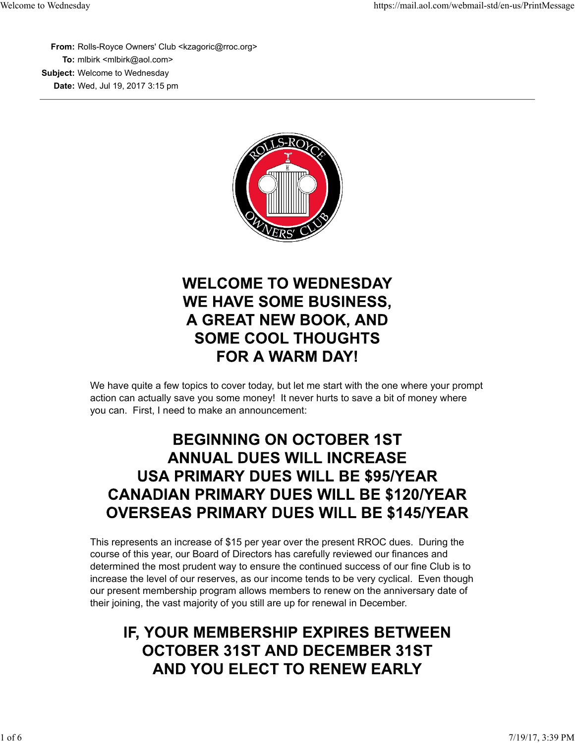**From:** Rolls-Royce Owners' Club <kzagoric@rroc.org> **To:** mlbirk <mlbirk@aol.com> **Subject:** Welcome to Wednesday **Date:** Wed, Jul 19, 2017 3:15 pm



# **WELCOME TO WEDNESDAY WE HAVE SOME BUSINESS,** A GREAT NEW BOOK, AND **SOME COOL THOUGHTS FOR A WARM DAY!**

We have quite a few topics to cover today, but let me start with the one where your prompt action can actually save you some money! It never hurts to save a bit of money where you can. First, I need to make an announcement:

### **BEGINNING ON OCTOBER 1ST ANNUAL DUES WILL INCREASE USA PRIMARY DUES WILL BE \$95/YEAR CANADIAN PRIMARY DUES WILL BE \$120/YEAR OVERSEAS PRIMARY DUES WILL BE \$145/YEAR**

This represents an increase of \$15 per year over the present RROC dues. During the course of this year, our Board of Directors has carefully reviewed our finances and determined the most prudent way to ensure the continued success of our fine Club is to increase the level of our reserves, as our income tends to be very cyclical. Even though our present membership program allows members to renew on the anniversary date of their joining, the vast majority of you still are up for renewal in December.

## IF, YOUR MEMBERSHIP EXPIRES BETWEEN **OCTOBER 31ST AND DECEMBER 31ST** AND YOU ELECT TO RENEW EARLY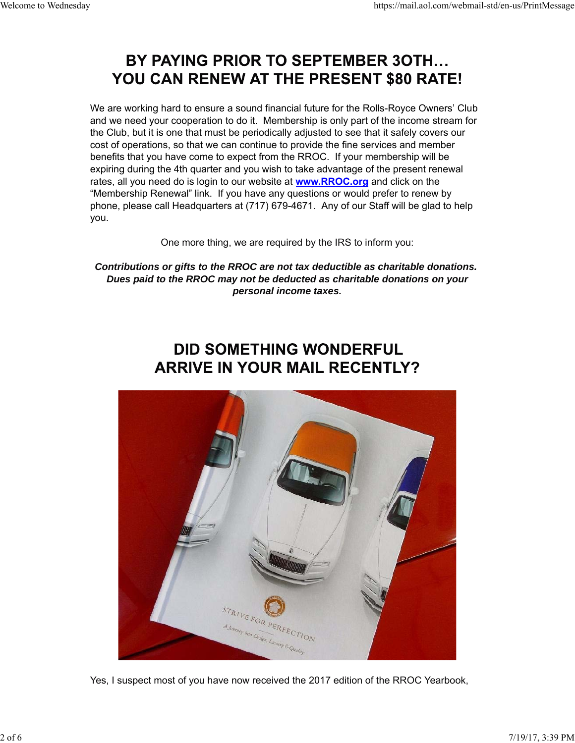#### BY PAYING PRIOR TO SEPTEMBER 30TH... YOU CAN RENEW AT THE PRESENT \$80 RATE!

We are working hard to ensure a sound financial future for the Rolls-Royce Owners' Club and we need your cooperation to do it. Membership is only part of the income stream for the Club, but it is one that must be periodically adjusted to see that it safely covers our cost of operations, so that we can continue to provide the fine services and member benefits that you have come to expect from the RROC. If your membership will be expiring during the 4th quarter and you wish to take advantage of the present renewal rates, all you need do is login to our website at **www.RROC.org** and click on the "Membership Renewal" link. If you have any questions or would prefer to renew by phone, please call Headquarters at (717) 679-4671. Any of our Staff will be glad to help you.

One more thing, we are required by the IRS to inform you:

*Contributions or gifts to the RROC are not tax deductible as charitable donations. Dues paid to the RROC may not be deducted as charitable donations on your personal income taxes.*

# **DID SOMETHING WONDERFUL ARRIVE IN YOUR MAIL RECENTLY?**



Yes, I suspect most of you have now received the 2017 edition of the RROC Yearbook,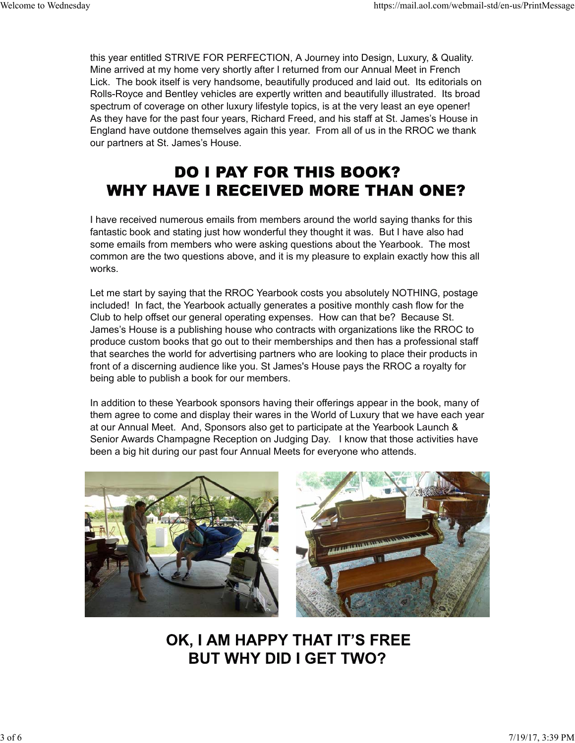this year entitled STRIVE FOR PERFECTION, A Journey into Design, Luxury, & Quality. Mine arrived at my home very shortly after I returned from our Annual Meet in French Lick. The book itself is very handsome, beautifully produced and laid out. Its editorials on Rolls-Royce and Bentley vehicles are expertly written and beautifully illustrated. Its broad spectrum of coverage on other luxury lifestyle topics, is at the very least an eye opener! As they have for the past four years, Richard Freed, and his staff at St. James's House in England have outdone themselves again this year. From all of us in the RROC we thank our partners at St. James's House.

# **DO I PAY FOR THIS BOOK? WHY HAVE I RECEIVED MORE THAN ONE?**

I have received numerous emails from members around the world saying thanks for this fantastic book and stating just how wonderful they thought it was. But I have also had some emails from members who were asking questions about the Yearbook. The most common are the two questions above, and it is my pleasure to explain exactly how this all works.

Let me start by saying that the RROC Yearbook costs you absolutely NOTHING, postage included! In fact, the Yearbook actually generates a positive monthly cash flow for the Club to help offset our general operating expenses. How can that be? Because St. James's House is a publishing house who contracts with organizations like the RROC to produce custom books that go out to their memberships and then has a professional staff that searches the world for advertising partners who are looking to place their products in front of a discerning audience like you. St James's House pays the RROC a royalty for being able to publish a book for our members.

In addition to these Yearbook sponsors having their offerings appear in the book, many of them agree to come and display their wares in the World of Luxury that we have each year at our Annual Meet. And, Sponsors also get to participate at the Yearbook Launch & Senior Awards Champagne Reception on Judging Day. I know that those activities have been a big hit during our past four Annual Meets for everyone who attends.



OK, I AM HAPPY THAT IT'S FREE **BUT WHY DID I GET TWO?**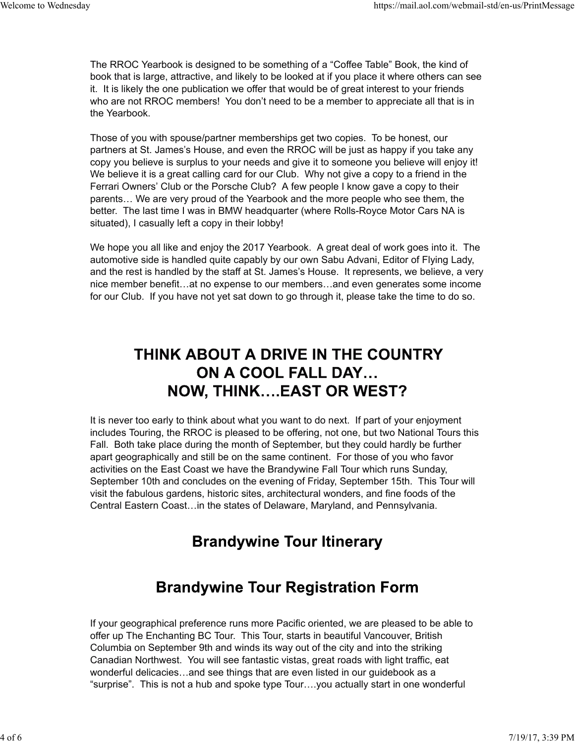The RROC Yearbook is designed to be something of a "Coffee Table" Book, the kind of book that is large, attractive, and likely to be looked at if you place it where others can see it. It is likely the one publication we offer that would be of great interest to your friends who are not RROC members! You don't need to be a member to appreciate all that is in the Yearbook.

Those of you with spouse/partner memberships get two copies. To be honest, our partners at St. James's House, and even the RROC will be just as happy if you take any copy you believe is surplus to your needs and give it to someone you believe will enjoy it! We believe it is a great calling card for our Club. Why not give a copy to a friend in the Ferrari Owners' Club or the Porsche Club? A few people I know gave a copy to their parents… We are very proud of the Yearbook and the more people who see them, the better. The last time I was in BMW headquarter (where Rolls-Royce Motor Cars NA is situated), I casually left a copy in their lobby!

We hope you all like and enjoy the 2017 Yearbook. A great deal of work goes into it. The automotive side is handled quite capably by our own Sabu Advani, Editor of Flying Lady, and the rest is handled by the staff at St. James's House. It represents, we believe, a very nice member benefit…at no expense to our members…and even generates some income for our Club. If you have not yet sat down to go through it, please take the time to do so.

### THINK ABOUT A DRIVE IN THE COUNTRY ON A COOL FALL DAY... **NOW, THINK....EAST OR WEST?**

It is never too early to think about what you want to do next. If part of your enjoyment includes Touring, the RROC is pleased to be offering, not one, but two National Tours this Fall. Both take place during the month of September, but they could hardly be further apart geographically and still be on the same continent. For those of you who favor activities on the East Coast we have the Brandywine Fall Tour which runs Sunday, September 10th and concludes on the evening of Friday, September 15th. This Tour will visit the fabulous gardens, historic sites, architectural wonders, and fine foods of the Central Eastern Coast…in the states of Delaware, Maryland, and Pennsylvania.

### **Brandywine Tour Itinerary**

#### **Brandywine Tour Registration Form**

If your geographical preference runs more Pacific oriented, we are pleased to be able to offer up The Enchanting BC Tour. This Tour, starts in beautiful Vancouver, British Columbia on September 9th and winds its way out of the city and into the striking Canadian Northwest. You will see fantastic vistas, great roads with light traffic, eat wonderful delicacies…and see things that are even listed in our guidebook as a "surprise". This is not a hub and spoke type Tour….you actually start in one wonderful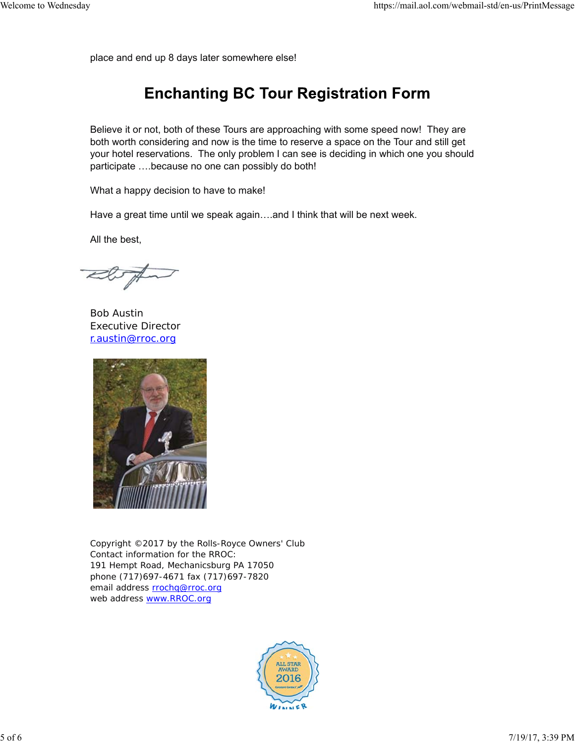place and end up 8 days later somewhere else!

### **Enchanting BC Tour Registration Form**

Believe it or not, both of these Tours are approaching with some speed now! They are both worth considering and now is the time to reserve a space on the Tour and still get your hotel reservations. The only problem I can see is deciding in which one you should participate ….because no one can possibly do both!

What a happy decision to have to make!

Have a great time until we speak again….and I think that will be next week.

All the best,

Bob Austin Executive Director r.austin@rroc.org



Copyright ©2017 by the Rolls-Royce Owners' Club Contact information for the RROC: 191 Hempt Road, Mechanicsburg PA 17050 phone (717)697-4671 fax (717)697-7820 email address rrochq@rroc.org web address www.RROC.org